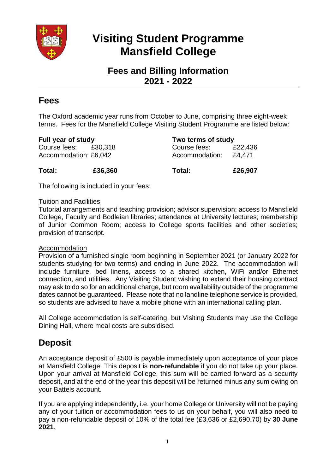

# **Visiting Student Programme Mansfield College**

## **Fees and Billing Information 2021 - 2022**

### **Fees**

The Oxford academic year runs from October to June, comprising three eight-week terms. Fees for the Mansfield College Visiting Student Programme are listed below:

| <b>Full year of study</b>                     |         | Two terms of study             |                   |
|-----------------------------------------------|---------|--------------------------------|-------------------|
| Course fees: £30,318<br>Accommodation: £6,042 |         | Course fees:<br>Accommodation: | £22,436<br>£4.471 |
| Total:                                        | £36,360 | Total:                         | £26,907           |

The following is included in your fees:

#### Tuition and Facilities

Tutorial arrangements and teaching provision; advisor supervision; access to Mansfield College, Faculty and Bodleian libraries; attendance at University lectures; membership of Junior Common Room; access to College sports facilities and other societies; provision of transcript.

#### Accommodation

Provision of a furnished single room beginning in September 2021 (or January 2022 for students studying for two terms) and ending in June 2022. The accommodation will include furniture, bed linens, access to a shared kitchen, WiFi and/or Ethernet connection, and utilities. Any Visiting Student wishing to extend their housing contract may ask to do so for an additional charge, but room availability outside of the programme dates cannot be guaranteed. Please note that no landline telephone service is provided, so students are advised to have a mobile phone with an international calling plan.

All College accommodation is self-catering, but Visiting Students may use the College Dining Hall, where meal costs are subsidised.

# **Deposit**

An acceptance deposit of £500 is payable immediately upon acceptance of your place at Mansfield College. This deposit is **non-refundable** if you do not take up your place. Upon your arrival at Mansfield College, this sum will be carried forward as a security deposit, and at the end of the year this deposit will be returned minus any sum owing on your Battels account.

If you are applying independently, i.e. your home College or University will not be paying any of your tuition or accommodation fees to us on your behalf, you will also need to pay a non-refundable deposit of 10% of the total fee (£3,636 or £2,690.70) by **30 June 2021**.